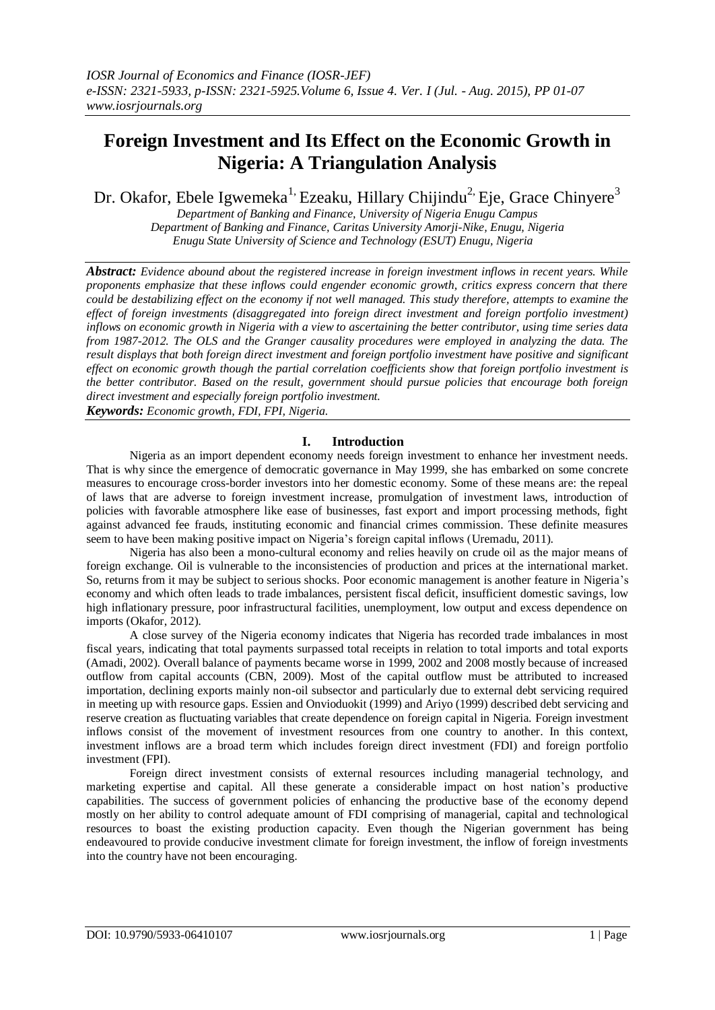# **Foreign Investment and Its Effect on the Economic Growth in Nigeria: A Triangulation Analysis**

Dr. Okafor, Ebele Igwemeka<sup>1,</sup> Ezeaku, Hillary Chijindu<sup>2,</sup> Eje, Grace Chinyere<sup>3</sup>

*Department of Banking and Finance, University of Nigeria Enugu Campus Department of Banking and Finance, Caritas University Amorji-Nike, Enugu, Nigeria Enugu State University of Science and Technology (ESUT) Enugu, Nigeria*

*Abstract: Evidence abound about the registered increase in foreign investment inflows in recent years. While proponents emphasize that these inflows could engender economic growth, critics express concern that there could be destabilizing effect on the economy if not well managed. This study therefore, attempts to examine the effect of foreign investments (disaggregated into foreign direct investment and foreign portfolio investment) inflows on economic growth in Nigeria with a view to ascertaining the better contributor, using time series data from 1987-2012. The OLS and the Granger causality procedures were employed in analyzing the data. The result displays that both foreign direct investment and foreign portfolio investment have positive and significant effect on economic growth though the partial correlation coefficients show that foreign portfolio investment is the better contributor. Based on the result, government should pursue policies that encourage both foreign direct investment and especially foreign portfolio investment.*

*Keywords: Economic growth, FDI, FPI, Nigeria.*

## **I. Introduction**

Nigeria as an import dependent economy needs foreign investment to enhance her investment needs. That is why since the emergence of democratic governance in May 1999, she has embarked on some concrete measures to encourage cross-border investors into her domestic economy. Some of these means are: the repeal of laws that are adverse to foreign investment increase, promulgation of investment laws, introduction of policies with favorable atmosphere like ease of businesses, fast export and import processing methods, fight against advanced fee frauds, instituting economic and financial crimes commission. These definite measures seem to have been making positive impact on Nigeria's foreign capital inflows (Uremadu, 2011).

Nigeria has also been a mono-cultural economy and relies heavily on crude oil as the major means of foreign exchange. Oil is vulnerable to the inconsistencies of production and prices at the international market. So, returns from it may be subject to serious shocks. Poor economic management is another feature in Nigeria's economy and which often leads to trade imbalances, persistent fiscal deficit, insufficient domestic savings, low high inflationary pressure, poor infrastructural facilities, unemployment, low output and excess dependence on imports (Okafor, 2012).

A close survey of the Nigeria economy indicates that Nigeria has recorded trade imbalances in most fiscal years, indicating that total payments surpassed total receipts in relation to total imports and total exports (Amadi, 2002). Overall balance of payments became worse in 1999, 2002 and 2008 mostly because of increased outflow from capital accounts (CBN, 2009). Most of the capital outflow must be attributed to increased importation, declining exports mainly non-oil subsector and particularly due to external debt servicing required in meeting up with resource gaps. Essien and Onvioduokit (1999) and Ariyo (1999) described debt servicing and reserve creation as fluctuating variables that create dependence on foreign capital in Nigeria. Foreign investment inflows consist of the movement of investment resources from one country to another. In this context, investment inflows are a broad term which includes foreign direct investment (FDI) and foreign portfolio investment (FPI).

Foreign direct investment consists of external resources including managerial technology, and marketing expertise and capital. All these generate a considerable impact on host nation's productive capabilities. The success of government policies of enhancing the productive base of the economy depend mostly on her ability to control adequate amount of FDI comprising of managerial, capital and technological resources to boast the existing production capacity. Even though the Nigerian government has being endeavoured to provide conducive investment climate for foreign investment, the inflow of foreign investments into the country have not been encouraging.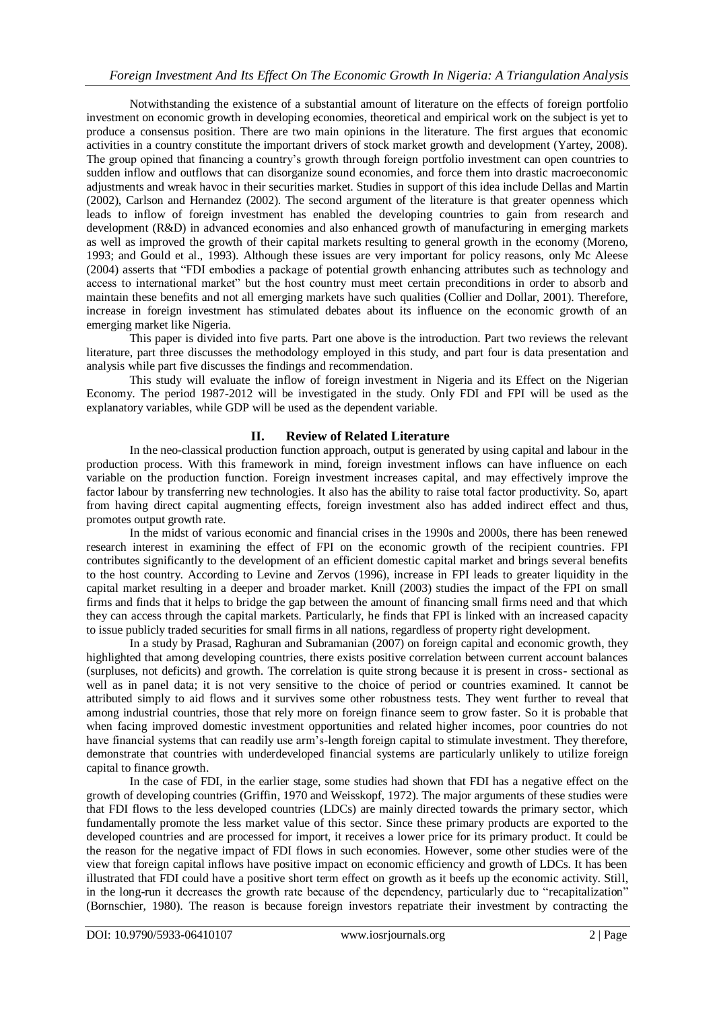Notwithstanding the existence of a substantial amount of literature on the effects of foreign portfolio investment on economic growth in developing economies, theoretical and empirical work on the subject is yet to produce a consensus position. There are two main opinions in the literature. The first argues that economic activities in a country constitute the important drivers of stock market growth and development (Yartey, 2008). The group opined that financing a country's growth through foreign portfolio investment can open countries to sudden inflow and outflows that can disorganize sound economies, and force them into drastic macroeconomic adjustments and wreak havoc in their securities market. Studies in support of this idea include Dellas and Martin (2002), Carlson and Hernandez (2002). The second argument of the literature is that greater openness which leads to inflow of foreign investment has enabled the developing countries to gain from research and development (R&D) in advanced economies and also enhanced growth of manufacturing in emerging markets as well as improved the growth of their capital markets resulting to general growth in the economy (Moreno, 1993; and Gould et al., 1993). Although these issues are very important for policy reasons, only Mc Aleese (2004) asserts that "FDI embodies a package of potential growth enhancing attributes such as technology and access to international market" but the host country must meet certain preconditions in order to absorb and maintain these benefits and not all emerging markets have such qualities (Collier and Dollar, 2001). Therefore, increase in foreign investment has stimulated debates about its influence on the economic growth of an emerging market like Nigeria.

This paper is divided into five parts. Part one above is the introduction. Part two reviews the relevant literature, part three discusses the methodology employed in this study, and part four is data presentation and analysis while part five discusses the findings and recommendation.

This study will evaluate the inflow of foreign investment in Nigeria and its Effect on the Nigerian Economy. The period 1987-2012 will be investigated in the study. Only FDI and FPI will be used as the explanatory variables, while GDP will be used as the dependent variable.

## **II. Review of Related Literature**

In the neo-classical production function approach, output is generated by using capital and labour in the production process. With this framework in mind, foreign investment inflows can have influence on each variable on the production function. Foreign investment increases capital, and may effectively improve the factor labour by transferring new technologies. It also has the ability to raise total factor productivity. So, apart from having direct capital augmenting effects, foreign investment also has added indirect effect and thus, promotes output growth rate.

In the midst of various economic and financial crises in the 1990s and 2000s, there has been renewed research interest in examining the effect of FPI on the economic growth of the recipient countries. FPI contributes significantly to the development of an efficient domestic capital market and brings several benefits to the host country. According to Levine and Zervos (1996), increase in FPI leads to greater liquidity in the capital market resulting in a deeper and broader market. Knill (2003) studies the impact of the FPI on small firms and finds that it helps to bridge the gap between the amount of financing small firms need and that which they can access through the capital markets. Particularly, he finds that FPI is linked with an increased capacity to issue publicly traded securities for small firms in all nations, regardless of property right development.

In a study by Prasad, Raghuran and Subramanian (2007) on foreign capital and economic growth, they highlighted that among developing countries, there exists positive correlation between current account balances (surpluses, not deficits) and growth. The correlation is quite strong because it is present in cross- sectional as well as in panel data; it is not very sensitive to the choice of period or countries examined. It cannot be attributed simply to aid flows and it survives some other robustness tests. They went further to reveal that among industrial countries, those that rely more on foreign finance seem to grow faster. So it is probable that when facing improved domestic investment opportunities and related higher incomes, poor countries do not have financial systems that can readily use arm's-length foreign capital to stimulate investment. They therefore, demonstrate that countries with underdeveloped financial systems are particularly unlikely to utilize foreign capital to finance growth.

In the case of FDI, in the earlier stage, some studies had shown that FDI has a negative effect on the growth of developing countries (Griffin, 1970 and Weisskopf, 1972). The major arguments of these studies were that FDI flows to the less developed countries (LDCs) are mainly directed towards the primary sector, which fundamentally promote the less market value of this sector. Since these primary products are exported to the developed countries and are processed for import, it receives a lower price for its primary product. It could be the reason for the negative impact of FDI flows in such economies. However, some other studies were of the view that foreign capital inflows have positive impact on economic efficiency and growth of LDCs. It has been illustrated that FDI could have a positive short term effect on growth as it beefs up the economic activity. Still, in the long-run it decreases the growth rate because of the dependency, particularly due to "recapitalization" (Bornschier, 1980). The reason is because foreign investors repatriate their investment by contracting the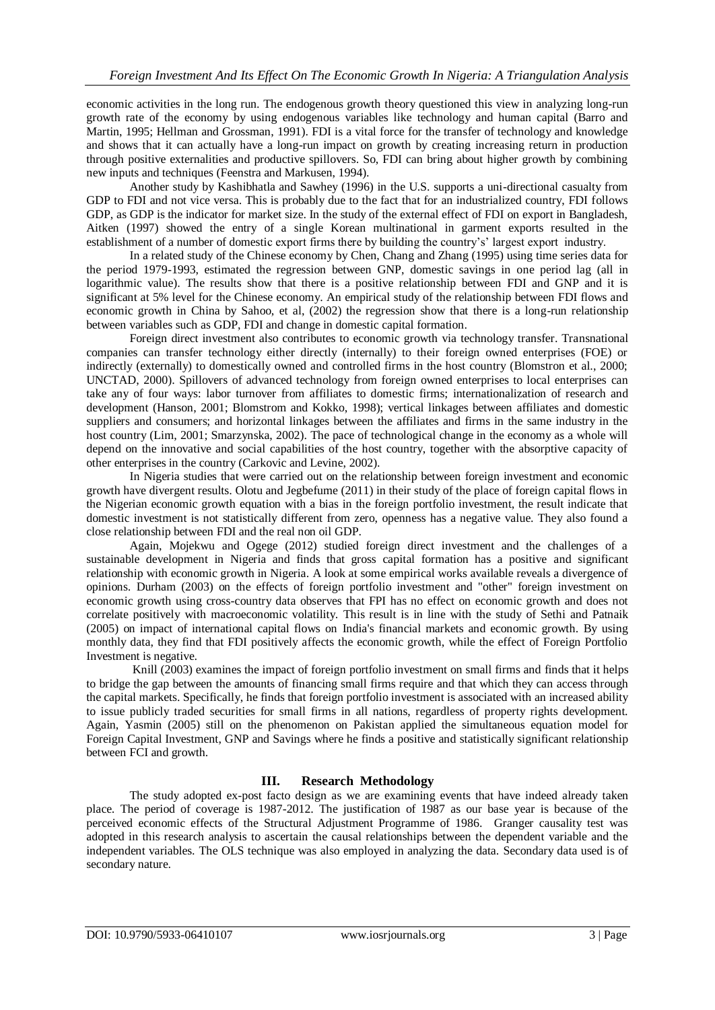economic activities in the long run. The endogenous growth theory questioned this view in analyzing long-run growth rate of the economy by using endogenous variables like technology and human capital (Barro and Martin, 1995; Hellman and Grossman, 1991). FDI is a vital force for the transfer of technology and knowledge and shows that it can actually have a long-run impact on growth by creating increasing return in production through positive externalities and productive spillovers. So, FDI can bring about higher growth by combining new inputs and techniques (Feenstra and Markusen, 1994).

Another study by Kashibhatla and Sawhey (1996) in the U.S. supports a uni-directional casualty from GDP to FDI and not vice versa. This is probably due to the fact that for an industrialized country, FDI follows GDP, as GDP is the indicator for market size. In the study of the external effect of FDI on export in Bangladesh, Aitken (1997) showed the entry of a single Korean multinational in garment exports resulted in the establishment of a number of domestic export firms there by building the country's' largest export industry.

In a related study of the Chinese economy by Chen, Chang and Zhang (1995) using time series data for the period 1979-1993, estimated the regression between GNP, domestic savings in one period lag (all in logarithmic value). The results show that there is a positive relationship between FDI and GNP and it is significant at 5% level for the Chinese economy. An empirical study of the relationship between FDI flows and economic growth in China by Sahoo, et al, (2002) the regression show that there is a long-run relationship between variables such as GDP, FDI and change in domestic capital formation.

Foreign direct investment also contributes to economic growth via technology transfer. Transnational companies can transfer technology either directly (internally) to their foreign owned enterprises (FOE) or indirectly (externally) to domestically owned and controlled firms in the host country (Blomstron et al., 2000; UNCTAD, 2000). Spillovers of advanced technology from foreign owned enterprises to local enterprises can take any of four ways: labor turnover from affiliates to domestic firms; internationalization of research and development (Hanson, 2001; Blomstrom and Kokko, 1998); vertical linkages between affiliates and domestic suppliers and consumers; and horizontal linkages between the affiliates and firms in the same industry in the host country (Lim, 2001; Smarzynska, 2002). The pace of technological change in the economy as a whole will depend on the innovative and social capabilities of the host country, together with the absorptive capacity of other enterprises in the country (Carkovic and Levine, 2002).

In Nigeria studies that were carried out on the relationship between foreign investment and economic growth have divergent results. Olotu and Jegbefume (2011) in their study of the place of foreign capital flows in the Nigerian economic growth equation with a bias in the foreign portfolio investment, the result indicate that domestic investment is not statistically different from zero, openness has a negative value. They also found a close relationship between FDI and the real non oil GDP.

Again, Mojekwu and Ogege (2012) studied foreign direct investment and the challenges of a sustainable development in Nigeria and finds that gross capital formation has a positive and significant relationship with economic growth in Nigeria. A look at some empirical works available reveals a divergence of opinions. Durham (2003) on the effects of foreign portfolio investment and "other" foreign investment on economic growth using cross-country data observes that FPI has no effect on economic growth and does not correlate positively with macroeconomic volatility. This result is in line with the study of Sethi and Patnaik (2005) on impact of international capital flows on India's financial markets and economic growth. By using monthly data, they find that FDI positively affects the economic growth, while the effect of Foreign Portfolio Investment is negative.

Knill (2003) examines the impact of foreign portfolio investment on small firms and finds that it helps to bridge the gap between the amounts of financing small firms require and that which they can access through the capital markets. Specifically, he finds that foreign portfolio investment is associated with an increased ability to issue publicly traded securities for small firms in all nations, regardless of property rights development. Again, Yasmin (2005) still on the phenomenon on Pakistan applied the simultaneous equation model for Foreign Capital Investment, GNP and Savings where he finds a positive and statistically significant relationship between FCI and growth.

## **III. Research Methodology**

The study adopted ex-post facto design as we are examining events that have indeed already taken place. The period of coverage is 1987-2012. The justification of 1987 as our base year is because of the perceived economic effects of the Structural Adjustment Programme of 1986. Granger causality test was adopted in this research analysis to ascertain the causal relationships between the dependent variable and the independent variables. The OLS technique was also employed in analyzing the data. Secondary data used is of secondary nature.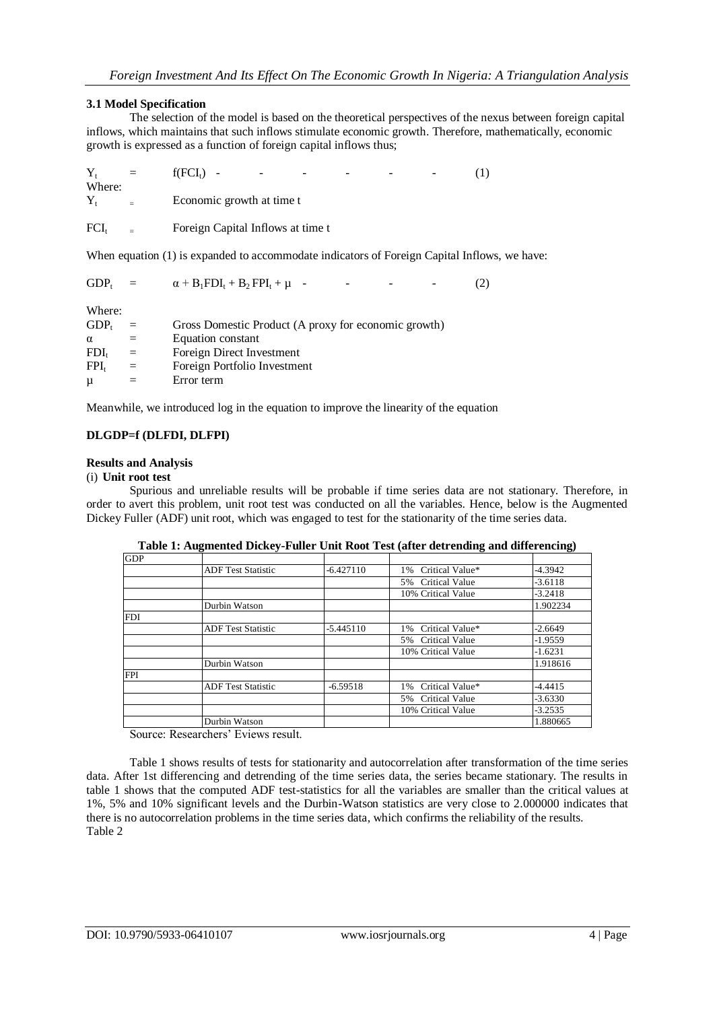## **3.1 Model Specification**

The selection of the model is based on the theoretical perspectives of the nexus between foreign capital inflows, which maintains that such inflows stimulate economic growth. Therefore, mathematically, economic growth is expressed as a function of foreign capital inflows thus;

| $Y_t =$           | $f(FCL)$ -                                                                                   | the contract of the contract of the contract of the |  | $\sim$ |  |
|-------------------|----------------------------------------------------------------------------------------------|-----------------------------------------------------|--|--------|--|
| Where:<br>$Y_t =$ | Economic growth at time t                                                                    |                                                     |  |        |  |
| $FCI_t =$         | Foreign Capital Inflows at time t                                                            |                                                     |  |        |  |
|                   | When equation (1) is expanded to accommodate indicators of Foreign Capital Inflows, we have: |                                                     |  |        |  |

| $GDP_t$ |  | $\alpha + B_1FDI_t + B_2FPI_t + \mu$ - |  |  |  |  |  |
|---------|--|----------------------------------------|--|--|--|--|--|
|---------|--|----------------------------------------|--|--|--|--|--|

Where:

| $\cdots$         |     |                                                      |
|------------------|-----|------------------------------------------------------|
| GDP <sub>t</sub> | $=$ | Gross Domestic Product (A proxy for economic growth) |
| $\alpha$         |     | Equation constant                                    |
| $FDI_t$          | $=$ | Foreign Direct Investment                            |
| $FPI_t$          | $=$ | Foreign Portfolio Investment                         |
| $\mu$            |     | Error term                                           |
|                  |     |                                                      |

Meanwhile, we introduced log in the equation to improve the linearity of the equation

## **DLGDP=f (DLFDI, DLFPI)**

## **Results and Analysis**

## (i) **Unit root test**

Spurious and unreliable results will be probable if time series data are not stationary. Therefore, in order to avert this problem, unit root test was conducted on all the variables. Hence, below is the Augmented Dickey Fuller (ADF) unit root, which was engaged to test for the stationarity of the time series data.

|            | 75                        |             |                    | ₩.        |
|------------|---------------------------|-------------|--------------------|-----------|
| GDP        |                           |             |                    |           |
|            | <b>ADF</b> Test Statistic | $-6.427110$ | 1% Critical Value* | $-4.3942$ |
|            |                           |             | 5% Critical Value  | $-3.6118$ |
|            |                           |             | 10% Critical Value | $-3.2418$ |
|            | Durbin Watson             |             |                    | 1.902234  |
| <b>FDI</b> |                           |             |                    |           |
|            | <b>ADF</b> Test Statistic | $-5.445110$ | 1% Critical Value* | $-2.6649$ |
|            |                           |             | 5% Critical Value  | $-1.9559$ |
|            |                           |             | 10% Critical Value | $-1.6231$ |
|            | Durbin Watson             |             |                    | 1.918616  |
| FPI        |                           |             |                    |           |
|            | <b>ADF</b> Test Statistic | $-6.59518$  | 1% Critical Value* | $-4.4415$ |
|            |                           |             | 5% Critical Value  | $-3.6330$ |
|            |                           |             | 10% Critical Value | $-3.2535$ |
|            | Durbin Watson             |             |                    | 1.880665  |
|            | $\sim$                    |             |                    |           |

| Table 1: Augmented Dickey-Fuller Unit Root Test (after detrending and differencing) |  |
|-------------------------------------------------------------------------------------|--|
|-------------------------------------------------------------------------------------|--|

Source: Researchers' Eviews result.

Table 1 shows results of tests for stationarity and autocorrelation after transformation of the time series data. After 1st differencing and detrending of the time series data, the series became stationary. The results in table 1 shows that the computed ADF test-statistics for all the variables are smaller than the critical values at 1%, 5% and 10% significant levels and the Durbin-Watson statistics are very close to 2.000000 indicates that there is no autocorrelation problems in the time series data, which confirms the reliability of the results. Table 2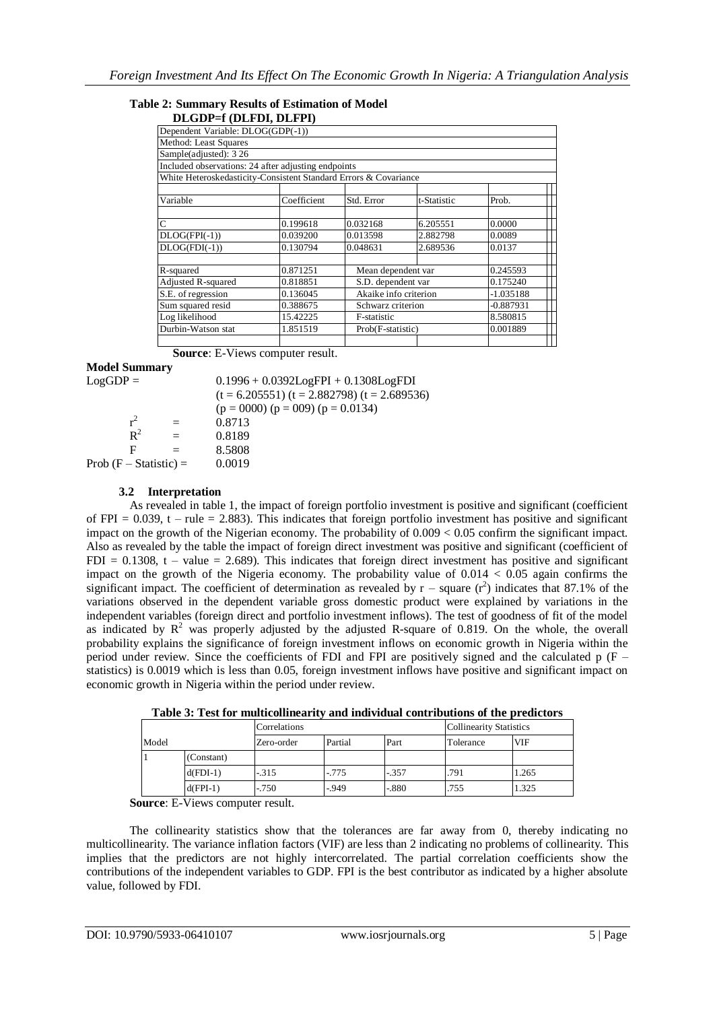## **Table 2: Summary Results of Estimation of Model**

| DLGDP=f (DLFDI, DLFPI)                                           |             |                    |                       |             |  |
|------------------------------------------------------------------|-------------|--------------------|-----------------------|-------------|--|
| Dependent Variable: DLOG(GDP(-1))                                |             |                    |                       |             |  |
| Method: Least Squares                                            |             |                    |                       |             |  |
| Sample(adjusted): 3 26                                           |             |                    |                       |             |  |
| Included observations: 24 after adjusting endpoints              |             |                    |                       |             |  |
| White Heteroskedasticity-Consistent Standard Errors & Covariance |             |                    |                       |             |  |
|                                                                  |             |                    |                       |             |  |
| Variable                                                         | Coefficient | Std. Error         | t-Statistic           | Prob.       |  |
|                                                                  |             |                    |                       |             |  |
| $\overline{C}$                                                   | 0.199618    | 0.032168           | 6.205551              | 0.0000      |  |
| $DLOG(FPI(-1))$                                                  | 0.039200    | 0.013598           | 2.882798              | 0.0089      |  |
| $DLOG(FDI(-1))$                                                  | 0.130794    | 0.048631           | 2.689536              | 0.0137      |  |
|                                                                  |             |                    |                       |             |  |
| R-squared                                                        | 0.871251    | Mean dependent var |                       | 0.245593    |  |
| Adjusted R-squared                                               | 0.818851    | S.D. dependent var |                       | 0.175240    |  |
| S.E. of regression                                               | 0.136045    |                    | Akaike info criterion |             |  |
| Sum squared resid                                                | 0.388675    | Schwarz criterion  |                       | $-0.887931$ |  |
| Log likelihood                                                   | 15.42225    |                    |                       | 8.580815    |  |
| Durbin-Watson stat                                               | 1.851519    | Prob(F-statistic)  |                       | 0.001889    |  |
|                                                                  |             |                    |                       |             |  |

**Source**: E-Views computer result.

## **Model Summary**

| $LogGDP =$               |  | $0.1996 + 0.0392$ LogFPI + $0.1308$ LogFDI         |
|--------------------------|--|----------------------------------------------------|
|                          |  | $(t = 6.205551)$ $(t = 2.882798)$ $(t = 2.689536)$ |
|                          |  | $(p = 0000)$ $(p = 009)$ $(p = 0.0134)$            |
| $r^2$                    |  | 0.8713                                             |
| $R^2$                    |  | 0.8189                                             |
| F                        |  | 8.5808                                             |
| Prob $(F - Statistic) =$ |  | 0.0019                                             |

## **3.2 Interpretation**

As revealed in table 1, the impact of foreign portfolio investment is positive and significant (coefficient of FPI =  $0.039$ , t – rule = 2.883). This indicates that foreign portfolio investment has positive and significant impact on the growth of the Nigerian economy. The probability of 0.009 < 0.05 confirm the significant impact. Also as revealed by the table the impact of foreign direct investment was positive and significant (coefficient of  $FDI = 0.1308$ ,  $t - value = 2.689$ . This indicates that foreign direct investment has positive and significant impact on the growth of the Nigeria economy. The probability value of  $0.014 < 0.05$  again confirms the significant impact. The coefficient of determination as revealed by  $r -$  square  $(r^2)$  indicates that 87.1% of the variations observed in the dependent variable gross domestic product were explained by variations in the independent variables (foreign direct and portfolio investment inflows). The test of goodness of fit of the model as indicated by  $R^2$  was properly adjusted by the adjusted R-square of 0.819. On the whole, the overall probability explains the significance of foreign investment inflows on economic growth in Nigeria within the period under review. Since the coefficients of FDI and FPI are positively signed and the calculated p  $(F$ statistics) is 0.0019 which is less than 0.05, foreign investment inflows have positive and significant impact on economic growth in Nigeria within the period under review.

|       |            | Correlations | <b>Collinearity Statistics</b> |         |           |            |  |
|-------|------------|--------------|--------------------------------|---------|-----------|------------|--|
| Model |            | Zero-order   | Partial                        | Part    | Tolerance | <b>VIF</b> |  |
|       | (Constant) |              |                                |         |           |            |  |
|       | $d(FDI-1)$ | $-315$       | $-0.775$                       | $-.357$ | .791      | 1.265      |  |
|       | $d(FPI-1)$ | $-750$       | $-949$                         | $-880$  | .755      | 1.325      |  |

**Table 3: Test for multicollinearity and individual contributions of the predictors**

**Source**: E-Views computer result.

The collinearity statistics show that the tolerances are far away from 0, thereby indicating no multicollinearity. The variance inflation factors (VIF) are less than 2 indicating no problems of collinearity. This implies that the predictors are not highly intercorrelated. The partial correlation coefficients show the contributions of the independent variables to GDP. FPI is the best contributor as indicated by a higher absolute value, followed by FDI.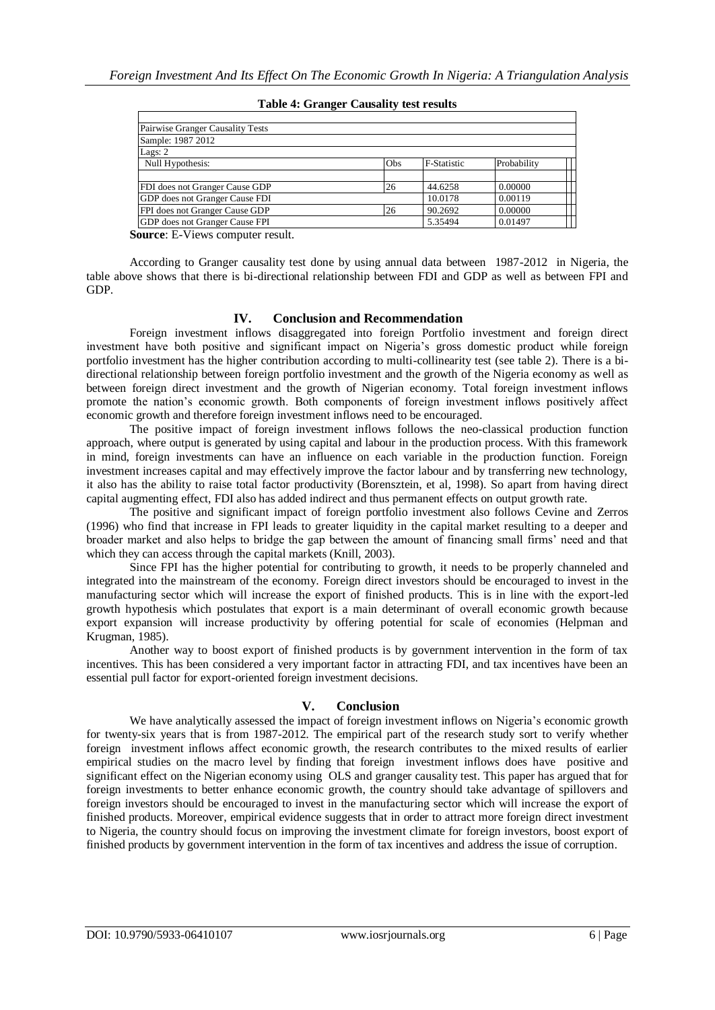| Pairwise Granger Causality Tests      |     |             |             |  |
|---------------------------------------|-----|-------------|-------------|--|
| Sample: 1987 2012                     |     |             |             |  |
| Lags: $2$                             |     |             |             |  |
| Null Hypothesis:                      | Obs | F-Statistic | Probability |  |
|                                       |     |             |             |  |
| FDI does not Granger Cause GDP        | 26  | 44.6258     | 0.00000     |  |
| GDP does not Granger Cause FDI        |     | 10.0178     | 0.00119     |  |
| FPI does not Granger Cause GDP        | 26  | 90.2692     | 0.00000     |  |
| <b>GDP</b> does not Granger Cause FPI |     | 5.35494     | 0.01497     |  |

## **Table 4: Granger Causality test results**

**Source**: E-Views computer result.

According to Granger causality test done by using annual data between 1987-2012 in Nigeria, the table above shows that there is bi-directional relationship between FDI and GDP as well as between FPI and GDP.

## **IV. Conclusion and Recommendation**

Foreign investment inflows disaggregated into foreign Portfolio investment and foreign direct investment have both positive and significant impact on Nigeria's gross domestic product while foreign portfolio investment has the higher contribution according to multi-collinearity test (see table 2). There is a bidirectional relationship between foreign portfolio investment and the growth of the Nigeria economy as well as between foreign direct investment and the growth of Nigerian economy. Total foreign investment inflows promote the nation's economic growth. Both components of foreign investment inflows positively affect economic growth and therefore foreign investment inflows need to be encouraged.

The positive impact of foreign investment inflows follows the neo-classical production function approach, where output is generated by using capital and labour in the production process. With this framework in mind, foreign investments can have an influence on each variable in the production function. Foreign investment increases capital and may effectively improve the factor labour and by transferring new technology, it also has the ability to raise total factor productivity (Borensztein, et al, 1998). So apart from having direct capital augmenting effect, FDI also has added indirect and thus permanent effects on output growth rate.

The positive and significant impact of foreign portfolio investment also follows Cevine and Zerros (1996) who find that increase in FPI leads to greater liquidity in the capital market resulting to a deeper and broader market and also helps to bridge the gap between the amount of financing small firms' need and that which they can access through the capital markets (Knill, 2003).

Since FPI has the higher potential for contributing to growth, it needs to be properly channeled and integrated into the mainstream of the economy. Foreign direct investors should be encouraged to invest in the manufacturing sector which will increase the export of finished products. This is in line with the export-led growth hypothesis which postulates that export is a main determinant of overall economic growth because export expansion will increase productivity by offering potential for scale of economies (Helpman and Krugman, 1985).

Another way to boost export of finished products is by government intervention in the form of tax incentives. This has been considered a very important factor in attracting FDI, and tax incentives have been an essential pull factor for export-oriented foreign investment decisions.

## **V. Conclusion**

We have analytically assessed the impact of foreign investment inflows on Nigeria's economic growth for twenty-six years that is from 1987-2012. The empirical part of the research study sort to verify whether foreign investment inflows affect economic growth, the research contributes to the mixed results of earlier empirical studies on the macro level by finding that foreign investment inflows does have positive and significant effect on the Nigerian economy using OLS and granger causality test. This paper has argued that for foreign investments to better enhance economic growth, the country should take advantage of spillovers and foreign investors should be encouraged to invest in the manufacturing sector which will increase the export of finished products. Moreover, empirical evidence suggests that in order to attract more foreign direct investment to Nigeria, the country should focus on improving the investment climate for foreign investors, boost export of finished products by government intervention in the form of tax incentives and address the issue of corruption.